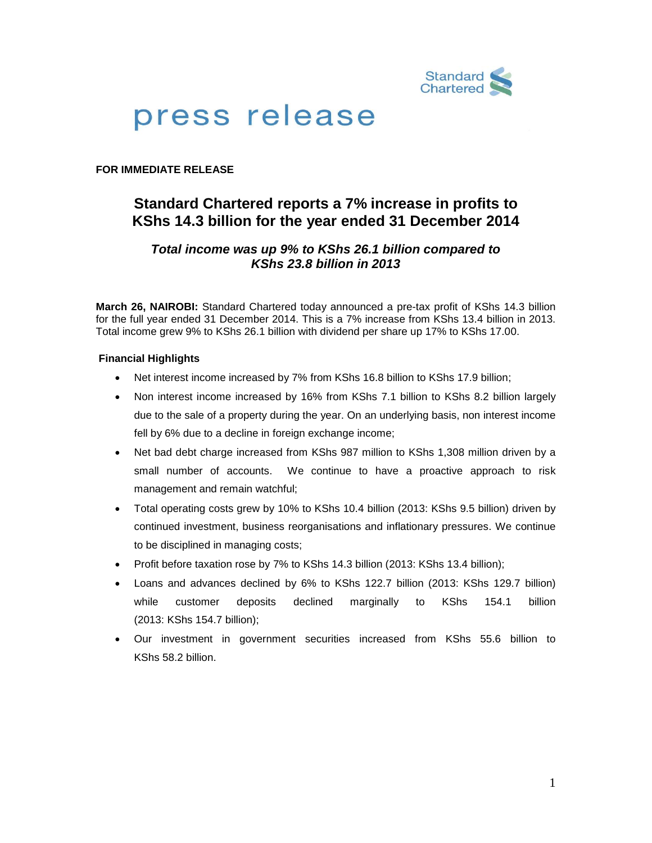

# press release

### **FOR IMMEDIATE RELEASE**

# **Standard Chartered reports a 7% increase in profits to KShs 14.3 billion for the year ended 31 December 2014**

# *Total income was up 9% to KShs 26.1 billion compared to KShs 23.8 billion in 2013*

**March 26, NAIROBI:** Standard Chartered today announced a pre-tax profit of KShs 14.3 billion for the full year ended 31 December 2014. This is a 7% increase from KShs 13.4 billion in 2013. Total income grew 9% to KShs 26.1 billion with dividend per share up 17% to KShs 17.00.

#### **Financial Highlights**

- Net interest income increased by 7% from KShs 16.8 billion to KShs 17.9 billion;
- Non interest income increased by 16% from KShs 7.1 billion to KShs 8.2 billion largely due to the sale of a property during the year. On an underlying basis, non interest income fell by 6% due to a decline in foreign exchange income;
- Net bad debt charge increased from KShs 987 million to KShs 1,308 million driven by a small number of accounts. We continue to have a proactive approach to risk management and remain watchful;
- Total operating costs grew by 10% to KShs 10.4 billion (2013: KShs 9.5 billion) driven by continued investment, business reorganisations and inflationary pressures. We continue to be disciplined in managing costs;
- Profit before taxation rose by 7% to KShs 14.3 billion (2013: KShs 13.4 billion);
- Loans and advances declined by 6% to KShs 122.7 billion (2013: KShs 129.7 billion) while customer deposits declined marginally to KShs 154.1 billion (2013: KShs 154.7 billion);
- Our investment in government securities increased from KShs 55.6 billion to KShs 58.2 billion.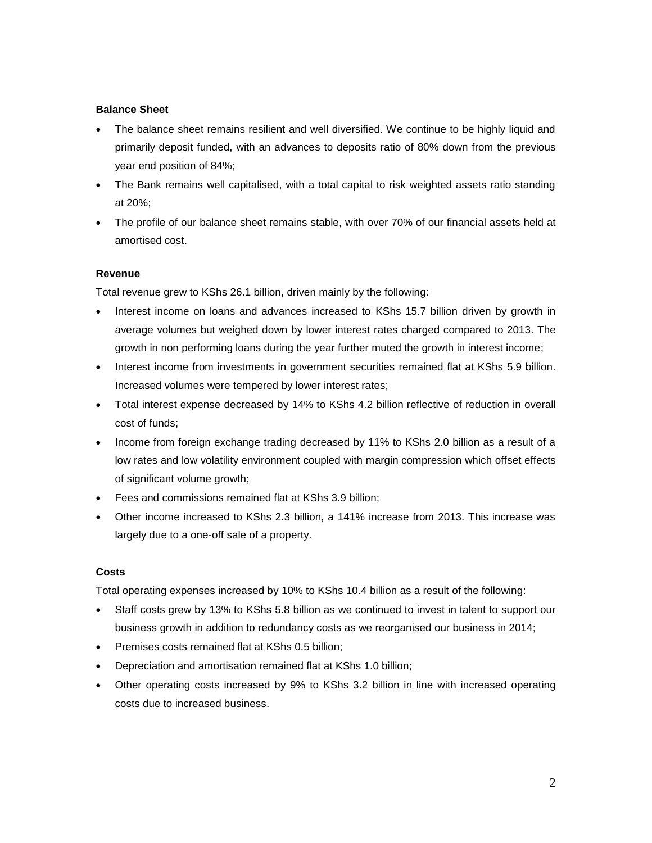#### **Balance Sheet**

- The balance sheet remains resilient and well diversified. We continue to be highly liquid and primarily deposit funded, with an advances to deposits ratio of 80% down from the previous year end position of 84%;
- The Bank remains well capitalised, with a total capital to risk weighted assets ratio standing at 20%;
- The profile of our balance sheet remains stable, with over 70% of our financial assets held at amortised cost.

#### **Revenue**

Total revenue grew to KShs 26.1 billion, driven mainly by the following:

- Interest income on loans and advances increased to KShs 15.7 billion driven by growth in average volumes but weighed down by lower interest rates charged compared to 2013. The growth in non performing loans during the year further muted the growth in interest income;
- Interest income from investments in government securities remained flat at KShs 5.9 billion. Increased volumes were tempered by lower interest rates;
- Total interest expense decreased by 14% to KShs 4.2 billion reflective of reduction in overall cost of funds;
- Income from foreign exchange trading decreased by 11% to KShs 2.0 billion as a result of a low rates and low volatility environment coupled with margin compression which offset effects of significant volume growth;
- Fees and commissions remained flat at KShs 3.9 billion;
- Other income increased to KShs 2.3 billion, a 141% increase from 2013. This increase was largely due to a one-off sale of a property.

# **Costs**

Total operating expenses increased by 10% to KShs 10.4 billion as a result of the following:

- Staff costs grew by 13% to KShs 5.8 billion as we continued to invest in talent to support our business growth in addition to redundancy costs as we reorganised our business in 2014;
- Premises costs remained flat at KShs 0.5 billion;
- Depreciation and amortisation remained flat at KShs 1.0 billion;
- Other operating costs increased by 9% to KShs 3.2 billion in line with increased operating costs due to increased business.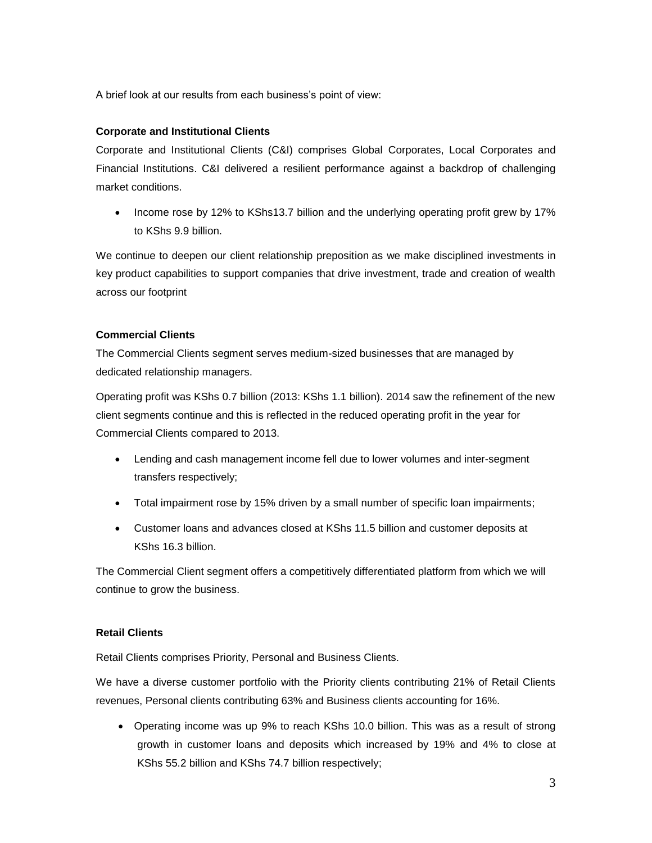A brief look at our results from each business's point of view:

### **Corporate and Institutional Clients**

Corporate and Institutional Clients (C&I) comprises Global Corporates, Local Corporates and Financial Institutions. C&I delivered a resilient performance against a backdrop of challenging market conditions.

• Income rose by 12% to KShs13.7 billion and the underlying operating profit grew by 17% to KShs 9.9 billion.

We continue to deepen our client relationship preposition as we make disciplined investments in key product capabilities to support companies that drive investment, trade and creation of wealth across our footprint

#### **Commercial Clients**

The Commercial Clients segment serves medium-sized businesses that are managed by dedicated relationship managers.

Operating profit was KShs 0.7 billion (2013: KShs 1.1 billion). 2014 saw the refinement of the new client segments continue and this is reflected in the reduced operating profit in the year for Commercial Clients compared to 2013.

- Lending and cash management income fell due to lower volumes and inter-segment transfers respectively;
- Total impairment rose by 15% driven by a small number of specific loan impairments;
- Customer loans and advances closed at KShs 11.5 billion and customer deposits at KShs 16.3 billion.

The Commercial Client segment offers a competitively differentiated platform from which we will continue to grow the business.

#### **Retail Clients**

Retail Clients comprises Priority, Personal and Business Clients.

We have a diverse customer portfolio with the Priority clients contributing 21% of Retail Clients revenues, Personal clients contributing 63% and Business clients accounting for 16%.

 Operating income was up 9% to reach KShs 10.0 billion. This was as a result of strong growth in customer loans and deposits which increased by 19% and 4% to close at KShs 55.2 billion and KShs 74.7 billion respectively;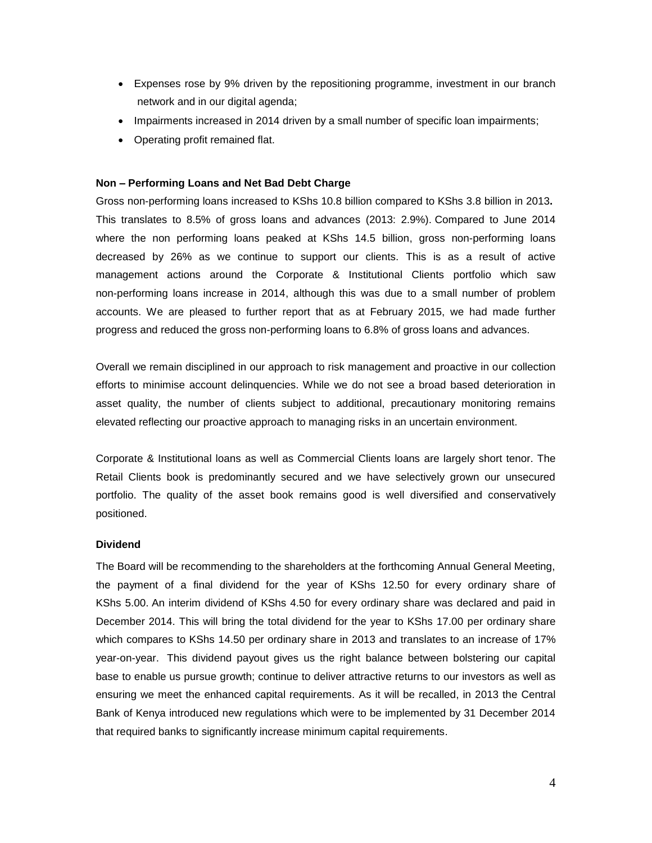- Expenses rose by 9% driven by the repositioning programme, investment in our branch network and in our digital agenda;
- Impairments increased in 2014 driven by a small number of specific loan impairments;
- Operating profit remained flat.

#### **Non – Performing Loans and Net Bad Debt Charge**

Gross non-performing loans increased to KShs 10.8 billion compared to KShs 3.8 billion in 2013**.** This translates to 8.5% of gross loans and advances (2013: 2.9%). Compared to June 2014 where the non performing loans peaked at KShs 14.5 billion, gross non-performing loans decreased by 26% as we continue to support our clients. This is as a result of active management actions around the Corporate & Institutional Clients portfolio which saw non-performing loans increase in 2014, although this was due to a small number of problem accounts. We are pleased to further report that as at February 2015, we had made further progress and reduced the gross non-performing loans to 6.8% of gross loans and advances.

Overall we remain disciplined in our approach to risk management and proactive in our collection efforts to minimise account delinquencies. While we do not see a broad based deterioration in asset quality, the number of clients subject to additional, precautionary monitoring remains elevated reflecting our proactive approach to managing risks in an uncertain environment.

Corporate & Institutional loans as well as Commercial Clients loans are largely short tenor. The Retail Clients book is predominantly secured and we have selectively grown our unsecured portfolio. The quality of the asset book remains good is well diversified and conservatively positioned.

#### **Dividend**

The Board will be recommending to the shareholders at the forthcoming Annual General Meeting, the payment of a final dividend for the year of KShs 12.50 for every ordinary share of KShs 5.00. An interim dividend of KShs 4.50 for every ordinary share was declared and paid in December 2014. This will bring the total dividend for the year to KShs 17.00 per ordinary share which compares to KShs 14.50 per ordinary share in 2013 and translates to an increase of 17% year-on-year. This dividend payout gives us the right balance between bolstering our capital base to enable us pursue growth; continue to deliver attractive returns to our investors as well as ensuring we meet the enhanced capital requirements. As it will be recalled, in 2013 the Central Bank of Kenya introduced new regulations which were to be implemented by 31 December 2014 that required banks to significantly increase minimum capital requirements.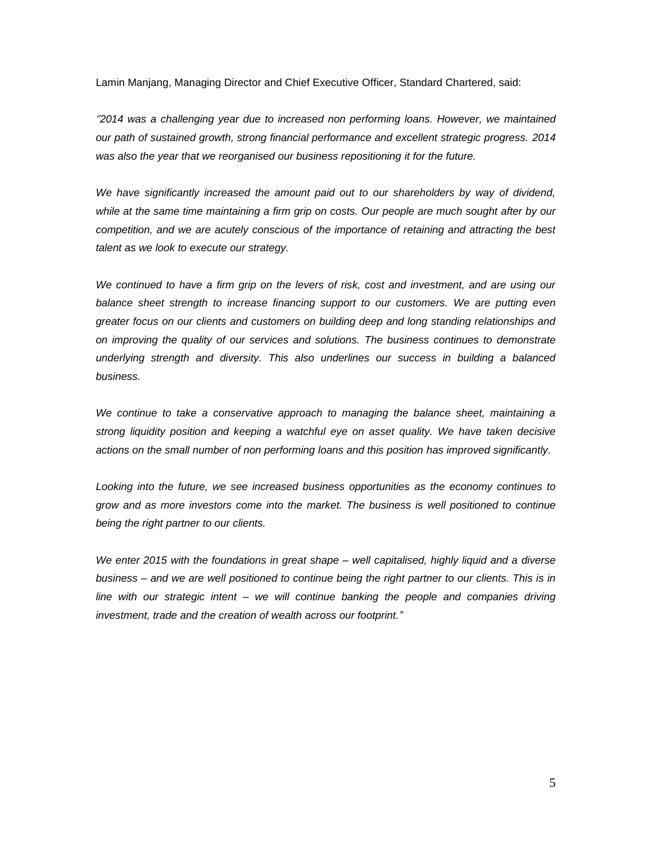Lamin Manjang, Managing Director and Chief Executive Officer, Standard Chartered, said:

*''2014 was a challenging year due to increased non performing loans. However, we maintained our path of sustained growth, strong financial performance and excellent strategic progress. 2014 was also the year that we reorganised our business repositioning it for the future.*

*We have significantly increased the amount paid out to our shareholders by way of dividend, while at the same time maintaining a firm grip on costs. Our people are much sought after by our competition, and we are acutely conscious of the importance of retaining and attracting the best talent as we look to execute our strategy.*

*We continued to have a firm grip on the levers of risk, cost and investment, and are using our balance sheet strength to increase financing support to our customers. We are putting even greater focus on our clients and customers on building deep and long standing relationships and on improving the quality of our services and solutions. The business continues to demonstrate underlying strength and diversity. This also underlines our success in building a balanced business.*

*We continue to take a conservative approach to managing the balance sheet, maintaining a strong liquidity position and keeping a watchful eye on asset quality. We have taken decisive actions on the small number of non performing loans and this position has improved significantly.*

*Looking into the future, we see increased business opportunities as the economy continues to grow and as more investors come into the market. The business is well positioned to continue being the right partner to our clients.*

*We enter 2015 with the foundations in great shape – well capitalised, highly liquid and a diverse business – and we are well positioned to continue being the right partner to our clients. This is in line with our strategic intent – we will continue banking the people and companies driving investment, trade and the creation of wealth across our footprint."*